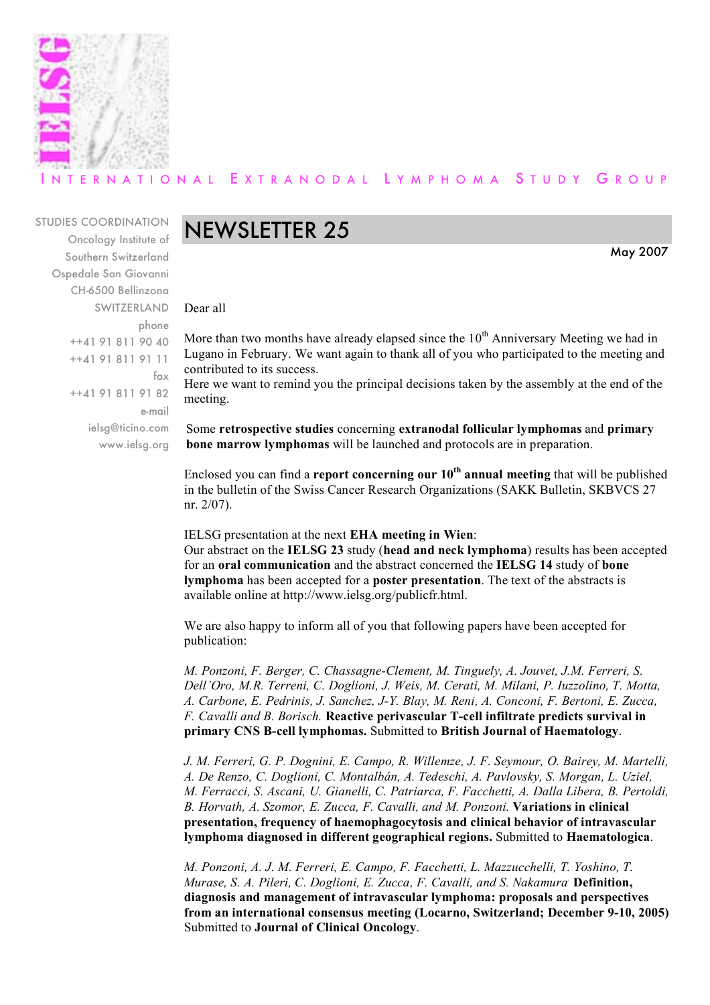

### ERNATIONAL EXTRANODAL LYMPHOMA STUDY GROUP

#### STUDIES COORDINATION

Oncology Institute of Southern Switzerland Ospedale San Giovanni CH-6500 Bellinzona SWITZERLAND phone ++41 91 811 90 40 ++41 91 811 91 11 fax ++41 91 811 91 82 e-mail ielsg@ticino.com www.ielsg.org

### NEWSLETTER 25

May 2007

Dear all

More than two months have already elapsed since the  $10<sup>th</sup>$  Anniversary Meeting we had in Lugano in February. We want again to thank all of you who participated to the meeting and contributed to its success.

Here we want to remind you the principal decisions taken by the assembly at the end of the meeting.

Some **retrospective studies** concerning **extranodal follicular lymphomas** and **primary bone marrow lymphomas** will be launched and protocols are in preparation.

Enclosed you can find a **report concerning our 10th annual meeting** that will be published in the bulletin of the Swiss Cancer Research Organizations (SAKK Bulletin, SKBVCS 27 nr. 2/07).

IELSG presentation at the next **EHA meeting in Wien**:

Our abstract on the **IELSG 23** study (**head and neck lymphoma**) results has been accepted for an **oral communication** and the abstract concerned the **IELSG 14** study of **bone lymphoma** has been accepted for a **poster presentation**. The text of the abstracts is available online at http://www.ielsg.org/publicfr.html.

We are also happy to inform all of you that following papers have been accepted for publication:

*M. Ponzoni, F. Berger, C. Chassagne-Clement, M. Tinguely, A. Jouvet, J.M. Ferreri, S. Dell'Oro, M.R. Terreni, C. Doglioni, J. Weis, M. Cerati, M. Milani, P. Iuzzolino, T. Motta, A. Carbone, E. Pedrinis, J. Sanchez, J-Y. Blay, M. Reni, A. Conconi, F. Bertoni, E. Zucca, F. Cavalli and B. Borisch.* **Reactive perivascular T-cell infiltrate predicts survival in primary CNS B-cell lymphomas.** Submitted to **British Journal of Haematology**.

*J. M. Ferreri, G. P. Dognini, E. Campo, R. Willemze, J. F. Seymour, O. Bairey, M. Martelli, A. De Renzo, C. Doglioni, C. Montalbán, A. Tedeschi, A. Pavlovsky, S. Morgan, L. Uziel, M. Ferracci, S. Ascani, U. Gianelli, C. Patriarca, F. Facchetti, A. Dalla Libera, B. Pertoldi, B. Horvath, A. Szomor, E. Zucca, F. Cavalli, and M. Ponzoni.* **Variations in clinical presentation, frequency of haemophagocytosis and clinical behavior of intravascular lymphoma diagnosed in different geographical regions.** Submitted to **Haematologica**.

*M. Ponzoni, A. J. M. Ferreri, E. Campo, F. Facchetti, L. Mazzucchelli, T. Yoshino, T. Murase, S. A. Pileri, C. Doglioni, E. Zucca, F. Cavalli, and S. Nakamura.* **Definition, diagnosis and management of intravascular lymphoma: proposals and perspectives from an international consensus meeting (Locarno, Switzerland; December 9-10, 2005)** Submitted to **Journal of Clinical Oncology**.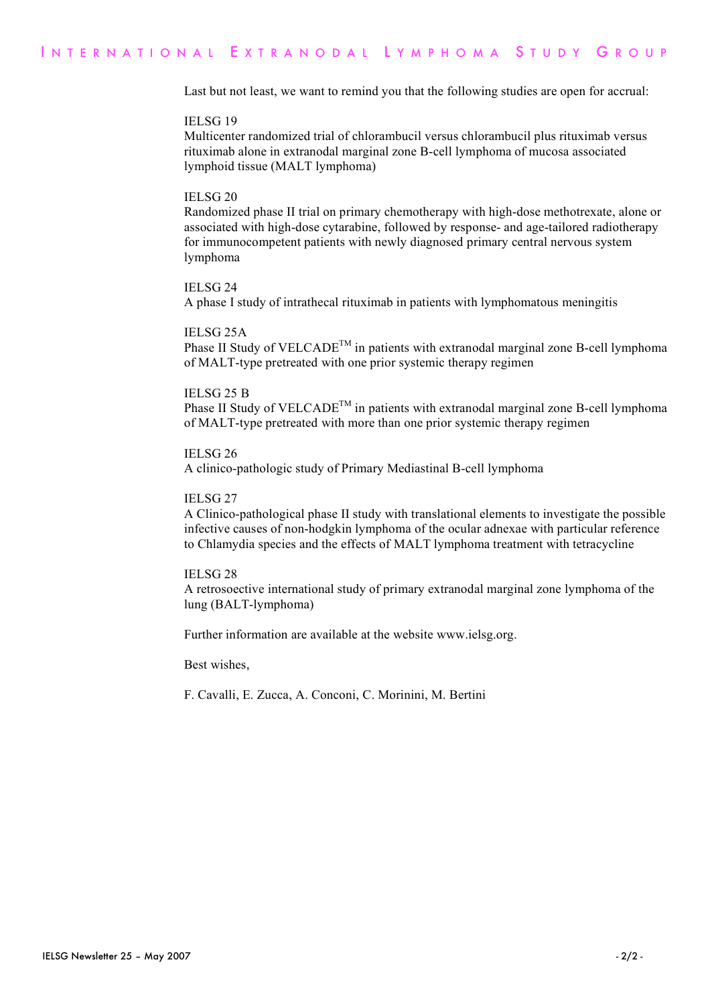Last but not least, we want to remind you that the following studies are open for accrual:

#### IELSG 19

Multicenter randomized trial of chlorambucil versus chlorambucil plus rituximab versus rituximab alone in extranodal marginal zone B-cell lymphoma of mucosa associated lymphoid tissue (MALT lymphoma)

#### IELSG 20

Randomized phase II trial on primary chemotherapy with high-dose methotrexate, alone or associated with high-dose cytarabine, followed by response- and age-tailored radiotherapy for immunocompetent patients with newly diagnosed primary central nervous system lymphoma

#### IELSG 24

A phase I study of intrathecal rituximab in patients with lymphomatous meningitis

#### IELSG 25A

Phase II Study of  $VELCADE^{TM}$  in patients with extranodal marginal zone B-cell lymphoma of MALT-type pretreated with one prior systemic therapy regimen

#### IELSG 25 B

Phase II Study of  $VELCADE^{TM}$  in patients with extranodal marginal zone B-cell lymphoma of MALT-type pretreated with more than one prior systemic therapy regimen

#### IELSG 26

A clinico-pathologic study of Primary Mediastinal B-cell lymphoma

#### IELSG 27

A Clinico-pathological phase II study with translational elements to investigate the possible infective causes of non-hodgkin lymphoma of the ocular adnexae with particular reference to Chlamydia species and the effects of MALT lymphoma treatment with tetracycline

#### IELSG 28

A retrosoective international study of primary extranodal marginal zone lymphoma of the lung (BALT-lymphoma)

Further information are available at the website www.ielsg.org.

Best wishes,

F. Cavalli, E. Zucca, A. Conconi, C. Morinini, M. Bertini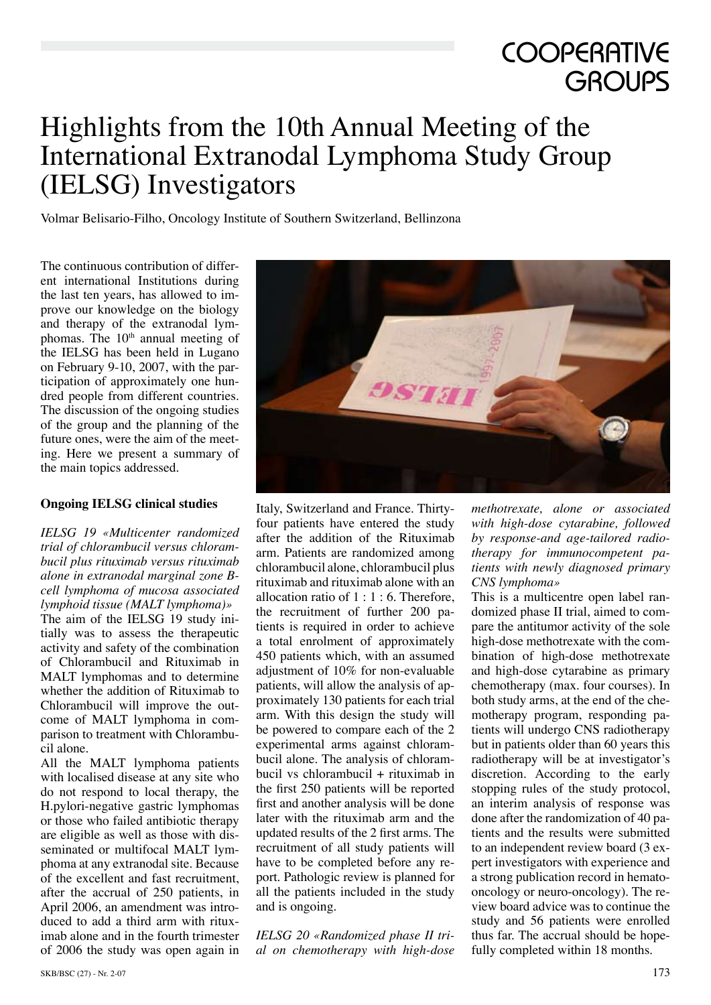## **COOPERATIVE GROUPS**

### Highlights from the 10th Annual Meeting of the International Extranodal Lymphoma Study Group (IELSG) Investigators

Volmar Belisario-Filho, Oncology Institute of Southern Switzerland, Bellinzona

The continuous contribution of different international Institutions during the last ten years, has allowed to improve our knowledge on the biology and therapy of the extranodal lymphomas. The 10<sup>th</sup> annual meeting of the IELSG has been held in Lugano on February 9-10, 2007, with the participation of approximately one hundred people from different countries. The discussion of the ongoing studies of the group and the planning of the future ones, were the aim of the meeting. Here we present a summary of the main topics addressed.

#### **Ongoing IELSG clinical studies**

*IELSG 19 «Multicenter randomized trial of chlorambucil versus chlorambucil plus rituximab versus rituximab alone in extranodal marginal zone Bcell lymphoma of mucosa associated lymphoid tissue (MALT lymphoma)»* The aim of the IELSG 19 study initially was to assess the therapeutic activity and safety of the combination of Chlorambucil and Rituximab in MALT lymphomas and to determine whether the addition of Rituximab to Chlorambucil will improve the outcome of MALT lymphoma in comparison to treatment with Chlorambucil alone.

All the MALT lymphoma patients with localised disease at any site who do not respond to local therapy, the H.pylori-negative gastric lymphomas or those who failed antibiotic therapy are eligible as well as those with disseminated or multifocal MALT lymphoma at any extranodal site. Because of the excellent and fast recruitment, after the accrual of 250 patients, in April 2006, an amendment was introduced to add a third arm with rituximab alone and in the fourth trimester of 2006 the study was open again in



Italy, Switzerland and France. Thirtyfour patients have entered the study after the addition of the Rituximab arm. Patients are randomized among chlorambucil alone, chlorambucil plus rituximab and rituximab alone with an allocation ratio of  $1:1:6$ . Therefore, the recruitment of further 200 patients is required in order to achieve a total enrolment of approximately 450 patients which, with an assumed adjustment of 10% for non-evaluable patients, will allow the analysis of approximately 130 patients for each trial arm. With this design the study will be powered to compare each of the 2 experimental arms against chlorambucil alone. The analysis of chlorambucil vs chlorambucil + rituximab in the first 250 patients will be reported first and another analysis will be done later with the rituximab arm and the updated results of the 2 first arms. The recruitment of all study patients will have to be completed before any report. Pathologic review is planned for all the patients included in the study and is ongoing.

*IELSG 20 «Randomized phase II trial on chemotherapy with high-dose*  *methotrexate, alone or associated with high-dose cytarabine, followed by response-and age-tailored radiotherapy for immunocompetent patients with newly diagnosed primary CNS lymphoma»*

This is a multicentre open label randomized phase II trial, aimed to compare the antitumor activity of the sole high-dose methotrexate with the combination of high-dose methotrexate and high-dose cytarabine as primary chemotherapy (max. four courses). In both study arms, at the end of the chemotherapy program, responding patients will undergo CNS radiotherapy but in patients older than 60 years this radiotherapy will be at investigator's discretion. According to the early stopping rules of the study protocol, an interim analysis of response was done after the randomization of 40 patients and the results were submitted to an independent review board (3 expert investigators with experience and a strong publication record in hematooncology or neuro-oncology). The review board advice was to continue the study and 56 patients were enrolled thus far. The accrual should be hopefully completed within 18 months.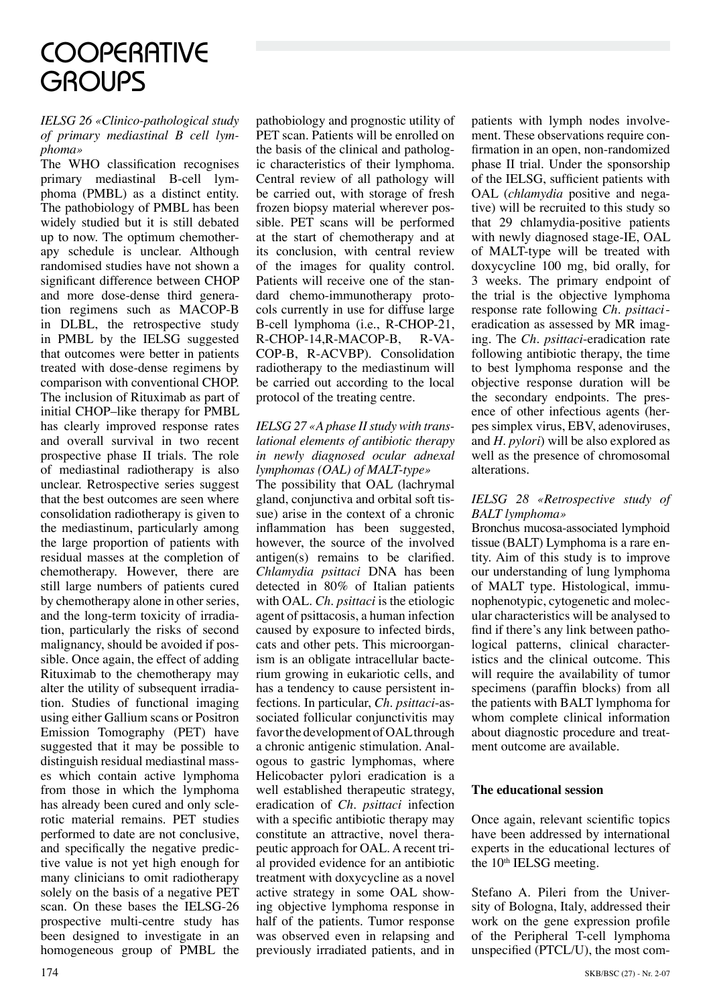## **COOPERATIVE GROUPS**

#### *IELSG 26 «Clinico-pathological study of primary mediastinal B cell lymphoma»*

The WHO classification recognises primary mediastinal B-cell lymphoma (PMBL) as a distinct entity. The pathobiology of PMBL has been widely studied but it is still debated up to now. The optimum chemotherapy schedule is unclear. Although randomised studies have not shown a significant difference between CHOP and more dose-dense third generation regimens such as MACOP-B in DLBL, the retrospective study in PMBL by the IELSG suggested that outcomes were better in patients treated with dose-dense regimens by comparison with conventional CHOP. The inclusion of Rituximab as part of initial CHOP–like therapy for PMBL has clearly improved response rates and overall survival in two recent prospective phase II trials. The role of mediastinal radiotherapy is also unclear. Retrospective series suggest that the best outcomes are seen where consolidation radiotherapy is given to the mediastinum, particularly among the large proportion of patients with residual masses at the completion of chemotherapy. However, there are still large numbers of patients cured by chemotherapy alone in other series, and the long-term toxicity of irradiation, particularly the risks of second malignancy, should be avoided if possible. Once again, the effect of adding Rituximab to the chemotherapy may alter the utility of subsequent irradiation. Studies of functional imaging using either Gallium scans or Positron Emission Tomography (PET) have suggested that it may be possible to distinguish residual mediastinal masses which contain active lymphoma from those in which the lymphoma has already been cured and only sclerotic material remains. PET studies performed to date are not conclusive, and specifically the negative predictive value is not yet high enough for many clinicians to omit radiotherapy solely on the basis of a negative PET scan. On these bases the IELSG-26 prospective multi-centre study has been designed to investigate in an homogeneous group of PMBL the pathobiology and prognostic utility of PET scan. Patients will be enrolled on the basis of the clinical and pathologic characteristics of their lymphoma. Central review of all pathology will be carried out, with storage of fresh frozen biopsy material wherever possible. PET scans will be performed at the start of chemotherapy and at its conclusion, with central review of the images for quality control. Patients will receive one of the standard chemo-immunotherapy protocols currently in use for diffuse large B-cell lymphoma (i.e., R-CHOP-21, R-CHOP-14,R-MACOP-B, R-VA-COP-B, R-ACVBP). Consolidation radiotherapy to the mediastinum will be carried out according to the local protocol of the treating centre.

*IELSG 27 «A phase II study with translational elements of antibiotic therapy in newly diagnosed ocular adnexal lymphomas (OAL) of MALT-type»* The possibility that OAL (lachrymal gland, conjunctiva and orbital soft tissue) arise in the context of a chronic inflammation has been suggested, however, the source of the involved antigen(s) remains to be clarified. *Chlamydia psittaci* DNA has been detected in 80% of Italian patients with OAL. *Ch. psittaci* is the etiologic agent of psittacosis, a human infection caused by exposure to infected birds, cats and other pets. This microorganism is an obligate intracellular bacterium growing in eukariotic cells, and has a tendency to cause persistent infections. In particular, *Ch. psittaci*-associated follicular conjunctivitis may favor the development of OAL through a chronic antigenic stimulation. Analogous to gastric lymphomas, where Helicobacter pylori eradication is a well established therapeutic strategy, eradication of *Ch. psittaci* infection with a specific antibiotic therapy may constitute an attractive, novel therapeutic approach for OAL. A recent trial provided evidence for an antibiotic treatment with doxycycline as a novel active strategy in some OAL showing objective lymphoma response in half of the patients. Tumor response was observed even in relapsing and previously irradiated patients, and in patients with lymph nodes involvement. These observations require confirmation in an open, non-randomized phase II trial. Under the sponsorship of the IELSG, sufficient patients with OAL (*chlamydia* positive and negative) will be recruited to this study so that 29 chlamydia-positive patients with newly diagnosed stage-IE, OAL of MALT-type will be treated with doxycycline 100 mg, bid orally, for 3 weeks. The primary endpoint of the trial is the objective lymphoma response rate following *Ch. psittaci*eradication as assessed by MR imaging. The *Ch. psittaci*-eradication rate following antibiotic therapy, the time to best lymphoma response and the objective response duration will be the secondary endpoints. The presence of other infectious agents (herpes simplex virus, EBV, adenoviruses, and *H. pylori*) will be also explored as well as the presence of chromosomal alterations.

#### *IELSG 28 «Retrospective study of BALT lymphoma»*

Bronchus mucosa-associated lymphoid tissue (BALT) Lymphoma is a rare entity. Aim of this study is to improve our understanding of lung lymphoma of MALT type. Histological, immunophenotypic, cytogenetic and molecular characteristics will be analysed to find if there's any link between pathological patterns, clinical characteristics and the clinical outcome. This will require the availability of tumor specimens (paraffin blocks) from all the patients with BALT lymphoma for whom complete clinical information about diagnostic procedure and treatment outcome are available.

#### **The educational session**

Once again, relevant scientific topics have been addressed by international experts in the educational lectures of the 10<sup>th</sup> IELSG meeting.

Stefano A. Pileri from the University of Bologna, Italy, addressed their work on the gene expression profile of the Peripheral T-cell lymphoma unspecified (PTCL/U), the most com-